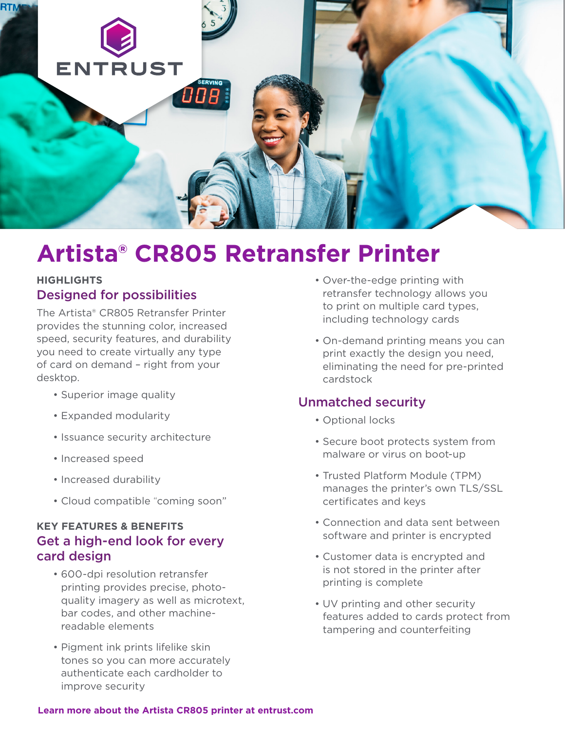

# **Artista® CR805 Retransfer Printer**

#### **HIGHLIGHTS** Designed for possibilities

The Artista® CR805 Retransfer Printer provides the stunning color, increased speed, security features, and durability you need to create virtually any type of card on demand – right from your desktop.

- Superior image quality
- Expanded modularity
- Issuance security architecture
- Increased speed
- Increased durability
- Cloud compatible "coming soon"

### **KEY FEATURES & BENEFITS** Get a high-end look for every card design

- 600-dpi resolution retransfer printing provides precise, photoquality imagery as well as microtext, bar codes, and other machinereadable elements
- Pigment ink prints lifelike skin tones so you can more accurately authenticate each cardholder to improve security
- Over-the-edge printing with retransfer technology allows you to print on multiple card types, including technology cards
- On-demand printing means you can print exactly the design you need, eliminating the need for pre-printed cardstock

#### Unmatched security

- Optional locks
- Secure boot protects system from malware or virus on boot-up
- Trusted Platform Module (TPM) manages the printer's own TLS/SSL certificates and keys
- Connection and data sent between software and printer is encrypted
- Customer data is encrypted and is not stored in the printer after printing is complete
- UV printing and other security features added to cards protect from tampering and counterfeiting

#### **[Learn more about the Artista CR805 printer at entrust.com](https://www.entrust.com/issuance-systems/products/instant/id-card-issuance/cr805-retransfer-printer)**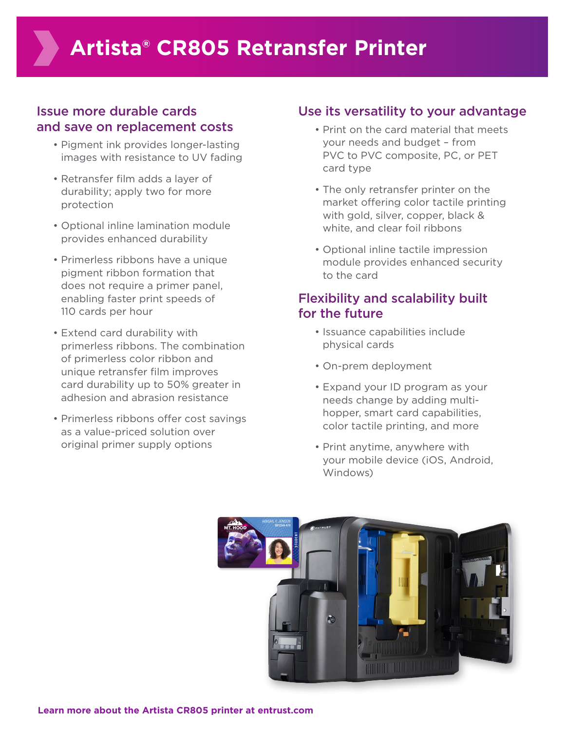# Issue more durable cards and save on replacement costs

- Pigment ink provides longer-lasting images with resistance to UV fading
- Retransfer film adds a layer of durability; apply two for more protection
- Optional inline lamination module provides enhanced durability
- Primerless ribbons have a unique pigment ribbon formation that does not require a primer panel, enabling faster print speeds of 110 cards per hour
- Extend card durability with primerless ribbons. The combination of primerless color ribbon and unique retransfer film improves card durability up to 50% greater in adhesion and abrasion resistance
- Primerless ribbons offer cost savings as a value-priced solution over original primer supply options

# Use its versatility to your advantage

- Print on the card material that meets your needs and budget – from PVC to PVC composite, PC, or PET card type
- The only retransfer printer on the market offering color tactile printing with gold, silver, copper, black & white, and clear foil ribbons
- Optional inline tactile impression module provides enhanced security to the card

# Flexibility and scalability built for the future

- Issuance capabilities include physical cards
- On-prem deployment
- Expand your ID program as your needs change by adding multihopper, smart card capabilities, color tactile printing, and more
- Print anytime, anywhere with your mobile device (iOS, Android, Windows)

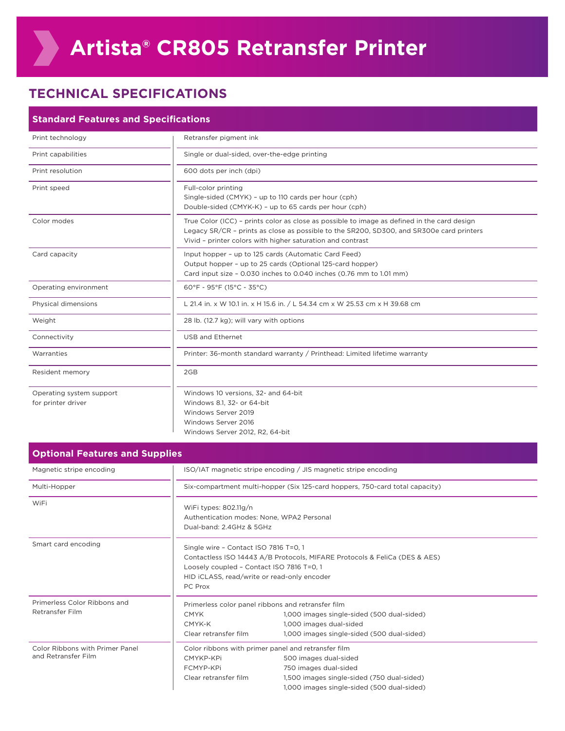# **TECHNICAL SPECIFICATIONS**

| <b>Standard Features and Specifications</b>    |                                                                                                                                                                                                                                                       |  |
|------------------------------------------------|-------------------------------------------------------------------------------------------------------------------------------------------------------------------------------------------------------------------------------------------------------|--|
| Print technology                               | Retransfer pigment ink                                                                                                                                                                                                                                |  |
| Print capabilities                             | Single or dual-sided, over-the-edge printing                                                                                                                                                                                                          |  |
| Print resolution                               | 600 dots per inch (dpi)                                                                                                                                                                                                                               |  |
| Print speed                                    | Full-color printing<br>Single-sided (CMYK) - up to 110 cards per hour (cph)<br>Double-sided (CMYK-K) - up to 65 cards per hour (cph)                                                                                                                  |  |
| Color modes                                    | True Color (ICC) - prints color as close as possible to image as defined in the card design<br>Legacy SR/CR - prints as close as possible to the SR200, SD300, and SR300e card printers<br>Vivid - printer colors with higher saturation and contrast |  |
| Card capacity                                  | Input hopper - up to 125 cards (Automatic Card Feed)<br>Output hopper - up to 25 cards (Optional 125-card hopper)<br>Card input size - 0.030 inches to 0.040 inches (0.76 mm to 1.01 mm)                                                              |  |
| Operating environment                          | $60^{\circ}F - 95^{\circ}F (15^{\circ}C - 35^{\circ}C)$                                                                                                                                                                                               |  |
| Physical dimensions                            | L 21.4 in. x W 10.1 in. x H 15.6 in. / L 54.34 cm x W 25.53 cm x H 39.68 cm                                                                                                                                                                           |  |
| Weight                                         | 28 lb. (12.7 kg); will vary with options                                                                                                                                                                                                              |  |
| Connectivity                                   | USB and Ethernet                                                                                                                                                                                                                                      |  |
| Warranties                                     | Printer: 36-month standard warranty / Printhead: Limited lifetime warranty                                                                                                                                                                            |  |
| Resident memory                                | 2GB                                                                                                                                                                                                                                                   |  |
| Operating system support<br>for printer driver | Windows 10 versions, 32- and 64-bit<br>Windows 8.1, 32- or 64-bit<br>Windows Server 2019<br>Windows Server 2016<br>Windows Server 2012, R2, 64-bit                                                                                                    |  |

| <b>Optional Features and Supplies</b>                  |                                                                                                                                                                                                                            |                                                                                                                                                                                                   |  |
|--------------------------------------------------------|----------------------------------------------------------------------------------------------------------------------------------------------------------------------------------------------------------------------------|---------------------------------------------------------------------------------------------------------------------------------------------------------------------------------------------------|--|
| Magnetic stripe encoding                               | ISO/IAT magnetic stripe encoding / JIS magnetic stripe encoding                                                                                                                                                            |                                                                                                                                                                                                   |  |
| Multi-Hopper                                           | Six-compartment multi-hopper (Six 125-card hoppers, 750-card total capacity)                                                                                                                                               |                                                                                                                                                                                                   |  |
| WiFi                                                   | WiFi types: 802.11g/n<br>Authentication modes: None. WPA2 Personal<br>Dual-band: 2.4GHz & 5GHz                                                                                                                             |                                                                                                                                                                                                   |  |
| Smart card encoding                                    | Single wire - Contact ISO 7816 T=0, 1<br>Contactless ISO 14443 A/B Protocols, MIFARE Protocols & FeliCa (DES & AES)<br>Loosely coupled - Contact ISO 7816 T=0, 1<br>HID ICLASS, read/write or read-only encoder<br>PC Prox |                                                                                                                                                                                                   |  |
| Primerless Color Ribbons and<br>Retransfer Film        | Primerless color panel ribbons and retransfer film<br><b>CMYK</b><br>CMYK-K<br>Clear retransfer film                                                                                                                       | 1,000 images single-sided (500 dual-sided)<br>1,000 images dual-sided<br>1,000 images single-sided (500 dual-sided)                                                                               |  |
| Color Ribbons with Primer Panel<br>and Retransfer Film | CMYKP-KPi<br>FCMYP-KPi<br>Clear retransfer film                                                                                                                                                                            | Color ribbons with primer panel and retransfer film<br>500 images dual-sided<br>750 images dual-sided<br>1,500 images single-sided (750 dual-sided)<br>1,000 images single-sided (500 dual-sided) |  |